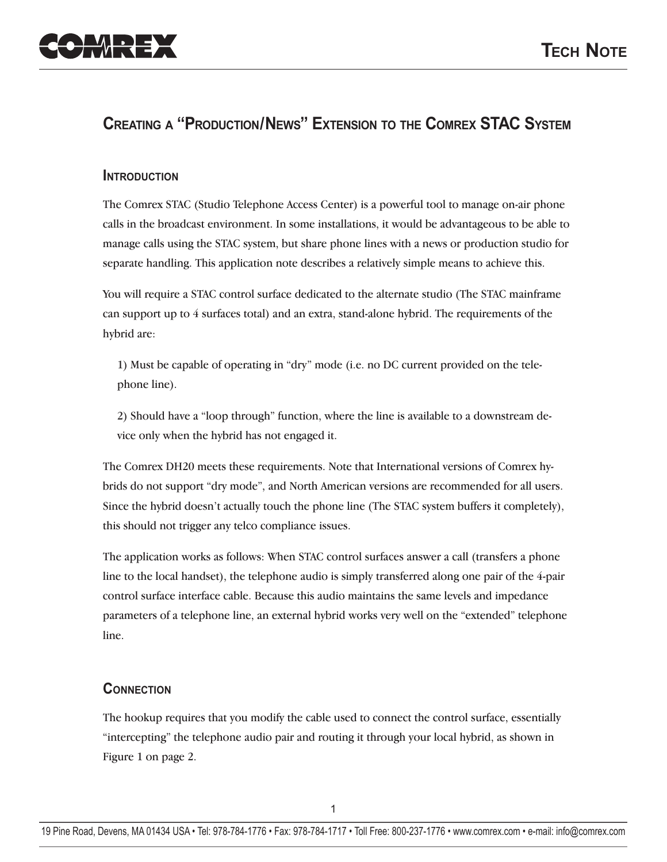

# **CREATING A "PRODUCTION/NEWS" EXTENSION TO THE COMREX STAC SYSTEM**

### **INTRODUCTION**

The Comrex STAC (Studio Telephone Access Center) is a powerful tool to manage on-air phone calls in the broadcast environment. In some installations, it would be advantageous to be able to manage calls using the STAC system, but share phone lines with a news or production studio for separate handling. This application note describes a relatively simple means to achieve this.

You will require a STAC control surface dedicated to the alternate studio (The STAC mainframe can support up to 4 surfaces total) and an extra, stand-alone hybrid. The requirements of the hybrid are:

1) Must be capable of operating in "dry" mode (i.e. no DC current provided on the telephone line).

2) Should have a "loop through" function, where the line is available to a downstream device only when the hybrid has not engaged it.

The Comrex DH20 meets these requirements. Note that International versions of Comrex hybrids do not support "dry mode", and North American versions are recommended for all users. Since the hybrid doesn't actually touch the phone line (The STAC system buffers it completely), this should not trigger any telco compliance issues.

The application works as follows: When STAC control surfaces answer a call (transfers a phone line to the local handset), the telephone audio is simply transferred along one pair of the 4-pair control surface interface cable. Because this audio maintains the same levels and impedance parameters of a telephone line, an external hybrid works very well on the "extended" telephone line.

### **CONNECTION**

The hookup requires that you modify the cable used to connect the control surface, essentially "intercepting" the telephone audio pair and routing it through your local hybrid, as shown in Figure 1 on page 2.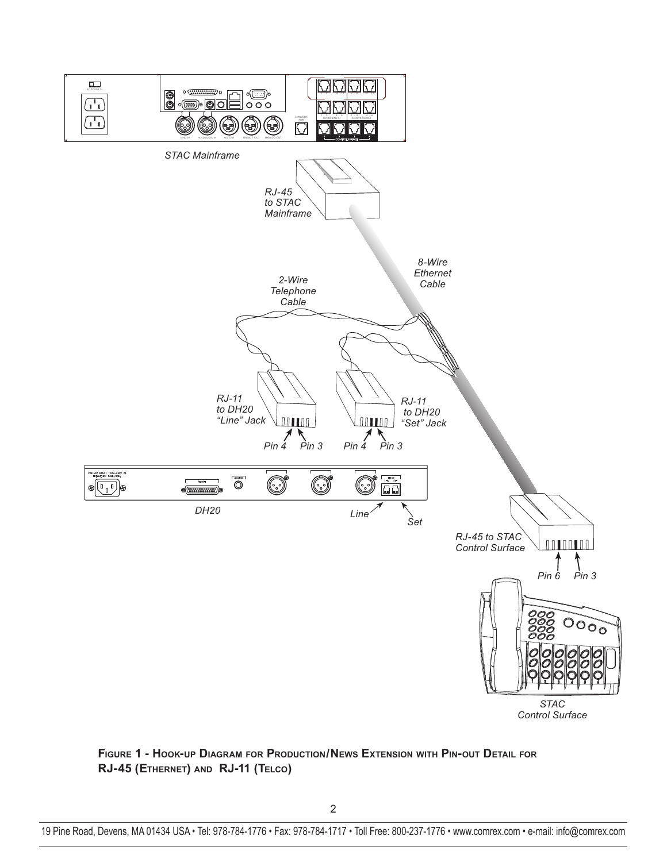

**FIGURE 1 - HOOK-UP DIAGRAM FOR PRODUCTION/NEWS EXTENSION WITH PIN-OUT DETAIL FOR RJ-45 (ETHERNET) AND RJ-11 (TELCO)**